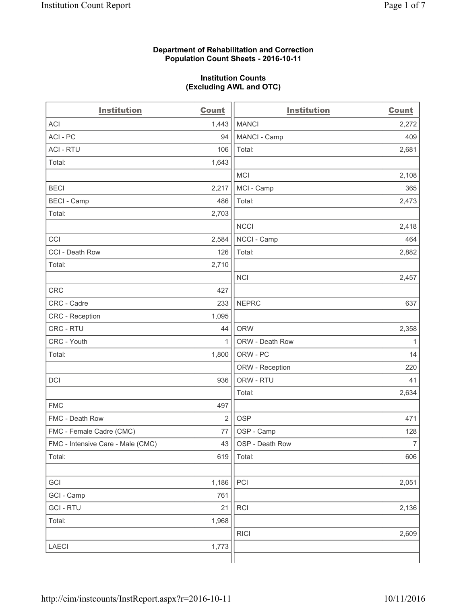#### **Department of Rehabilitation and Correction Population Count Sheets - 2016-10-11**

#### **Institution Counts (Excluding AWL and OTC)**

| <b>Institution</b>                | <b>Count</b>   | <b>Institution</b> | <b>Count</b>   |
|-----------------------------------|----------------|--------------------|----------------|
| <b>ACI</b>                        | 1,443          | <b>MANCI</b>       | 2,272          |
| ACI-PC                            | 94             | MANCI - Camp       | 409            |
| <b>ACI - RTU</b>                  | 106            | Total:             | 2,681          |
| Total:                            | 1,643          |                    |                |
|                                   |                | <b>MCI</b>         | 2,108          |
| <b>BECI</b>                       | 2,217          | MCI - Camp         | 365            |
| <b>BECI</b> - Camp                | 486            | Total:             | 2,473          |
| Total:                            | 2,703          |                    |                |
|                                   |                | <b>NCCI</b>        | 2,418          |
| CCI                               | 2,584          | NCCI - Camp        | 464            |
| CCI - Death Row                   | 126            | Total:             | 2,882          |
| Total:                            | 2,710          |                    |                |
|                                   |                | <b>NCI</b>         | 2,457          |
| <b>CRC</b>                        | 427            |                    |                |
| CRC - Cadre                       | 233            | <b>NEPRC</b>       | 637            |
| CRC - Reception                   | 1,095          |                    |                |
| CRC - RTU                         | 44             | <b>ORW</b>         | 2,358          |
| CRC - Youth                       | 1              | ORW - Death Row    | 1              |
| Total:                            | 1,800          | ORW - PC           | 14             |
|                                   |                | ORW - Reception    | 220            |
| DCI                               | 936            | ORW - RTU          | 41             |
|                                   |                | Total:             | 2,634          |
| <b>FMC</b>                        | 497            |                    |                |
| FMC - Death Row                   | $\overline{2}$ | <b>OSP</b>         | 471            |
| FMC - Female Cadre (CMC)          | 77             | OSP - Camp         | 128            |
| FMC - Intensive Care - Male (CMC) | 43             | OSP - Death Row    | $\overline{7}$ |
| Total:                            | 619            | Total:             | 606            |
|                                   |                |                    |                |
| GCI                               | 1,186          | PCI                | 2,051          |
| GCI - Camp                        | 761            |                    |                |
| <b>GCI-RTU</b>                    | 21             | RCI                | 2,136          |
| Total:                            | 1,968          |                    |                |
|                                   |                | <b>RICI</b>        | 2,609          |
| <b>LAECI</b>                      | 1,773          |                    |                |
|                                   |                |                    |                |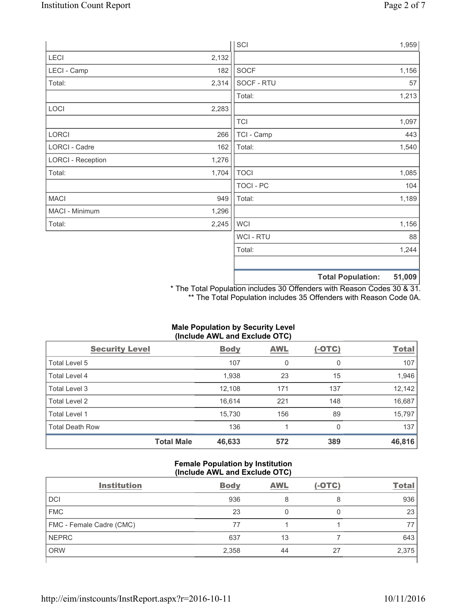|                          |       | SCI            |                          | 1,959  |
|--------------------------|-------|----------------|--------------------------|--------|
| LECI                     | 2,132 |                |                          |        |
| LECI - Camp              | 182   | SOCF           |                          | 1,156  |
| Total:                   | 2,314 | SOCF - RTU     |                          | 57     |
|                          |       | Total:         |                          | 1,213  |
| LOCI                     | 2,283 |                |                          |        |
|                          |       | <b>TCI</b>     |                          | 1,097  |
| LORCI                    | 266   | TCI - Camp     |                          | 443    |
| LORCI - Cadre            | 162   | Total:         |                          | 1,540  |
| <b>LORCI - Reception</b> | 1,276 |                |                          |        |
| Total:                   | 1,704 | <b>TOCI</b>    |                          | 1,085  |
|                          |       | TOCI - PC      |                          | 104    |
| <b>MACI</b>              | 949   | Total:         |                          | 1,189  |
| MACI - Minimum           | 1,296 |                |                          |        |
| Total:                   | 2,245 | <b>WCI</b>     |                          | 1,156  |
|                          |       | <b>WCI-RTU</b> |                          | 88     |
|                          |       | Total:         |                          | 1,244  |
|                          |       |                | <b>Total Population:</b> | 51,009 |

\* The Total Population includes 30 Offenders with Reason Codes 30 & 31. \*\* The Total Population includes 35 Offenders with Reason Code 0A.

# **Male Population by Security Level (Include AWL and Exclude OTC)**

| <b>Security Level</b>  |                   | <b>Body</b> | <b>AWL</b> | $(-OTC)$ | <b>Total</b> |
|------------------------|-------------------|-------------|------------|----------|--------------|
| Total Level 5          |                   | 107         | 0          | 0        | 107          |
| Total Level 4          |                   | 1,938       | 23         | 15       | 1,946        |
| Total Level 3          |                   | 12,108      | 171        | 137      | 12,142       |
| Total Level 2          |                   | 16,614      | 221        | 148      | 16,687       |
| <b>Total Level 1</b>   |                   | 15,730      | 156        | 89       | 15,797       |
| <b>Total Death Row</b> |                   | 136         |            | 0        | 137          |
|                        | <b>Total Male</b> | 46,633      | 572        | 389      | 46,816       |

### **Female Population by Institution (Include AWL and Exclude OTC)**

| <b>Institution</b>       | <b>Body</b> | <b>AWL</b> | $(-OTC)$ | <b>Total</b> |
|--------------------------|-------------|------------|----------|--------------|
| <b>DCI</b>               | 936         |            |          | 936          |
| <b>FMC</b>               | 23          |            |          | 23           |
| FMC - Female Cadre (CMC) | 77          |            |          |              |
| <b>NEPRC</b>             | 637         | 13         |          | 643          |
| <b>ORW</b>               | 2,358       | 44         | 27       | 2,375        |
|                          |             |            |          |              |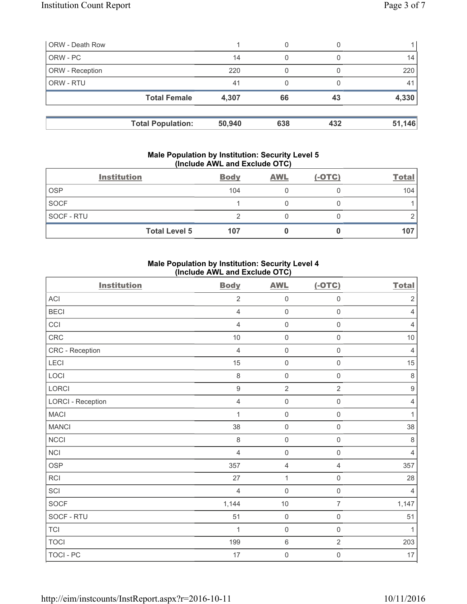| <b>ORW - Death Row</b> |                          |        | 0   |     |        |
|------------------------|--------------------------|--------|-----|-----|--------|
| ORW - PC               |                          | 14     | 0   |     | 14     |
| ORW - Reception        |                          | 220    |     |     | 220    |
| ORW - RTU              |                          | 41     |     |     | 41     |
|                        | <b>Total Female</b>      | 4,307  | 66  | 43  | 4,330  |
|                        | <b>Total Population:</b> | 50,940 | 638 | 432 | 51,146 |

#### **Male Population by Institution: Security Level 5 (Include AWL and Exclude OTC)**

|                   | <b>Institution</b>   | <b>Body</b> | <b>AWL</b> | $(-OTC)$ | <b>Total</b> |
|-------------------|----------------------|-------------|------------|----------|--------------|
| <b>OSP</b>        |                      | 104         |            |          | 104          |
| <b>SOCF</b>       |                      |             |            |          |              |
| <b>SOCF - RTU</b> |                      |             |            |          |              |
|                   | <b>Total Level 5</b> | 107         |            |          | 107          |

## **Male Population by Institution: Security Level 4 (Include AWL and Exclude OTC)**

| <b>Institution</b>       | <b>Body</b>      | <b>AWL</b>          | $(-OTC)$            | <b>Total</b>     |
|--------------------------|------------------|---------------------|---------------------|------------------|
| <b>ACI</b>               | $\overline{2}$   | $\mathsf{O}\xspace$ | $\mathsf 0$         | $\sqrt{2}$       |
| <b>BECI</b>              | $\overline{4}$   | $\mathsf{O}\xspace$ | $\mathsf{O}\xspace$ | $\overline{4}$   |
| CCI                      | $\overline{4}$   | $\mathsf{O}\xspace$ | $\mathsf 0$         | $\overline{4}$   |
| CRC                      | $10$             | $\mathsf{O}\xspace$ | $\mathsf{O}\xspace$ | $10$             |
| CRC - Reception          | $\overline{4}$   | $\mathsf{O}\xspace$ | $\mathsf 0$         | $\overline{4}$   |
| LECI                     | 15               | $\mathsf{O}\xspace$ | $\mathsf 0$         | 15               |
| LOCI                     | 8                | $\mathsf{O}\xspace$ | $\mathsf{O}\xspace$ | $\,8\,$          |
| LORCI                    | $\boldsymbol{9}$ | $\overline{2}$      | $\overline{2}$      | $\boldsymbol{9}$ |
| <b>LORCI - Reception</b> | $\overline{4}$   | $\mathsf{O}\xspace$ | $\mathsf{O}\xspace$ | $\overline{4}$   |
| <b>MACI</b>              | 1                | $\mathsf{O}\xspace$ | $\mathsf 0$         | $\mathbf{1}$     |
| <b>MANCI</b>             | 38               | $\mathsf{O}\xspace$ | $\mathsf{O}\xspace$ | 38               |
| <b>NCCI</b>              | 8                | $\mathsf{O}\xspace$ | $\mathsf{O}\xspace$ | $\,8\,$          |
| <b>NCI</b>               | $\overline{4}$   | $\mathsf{O}\xspace$ | $\mathsf{O}\xspace$ | $\overline{4}$   |
| <b>OSP</b>               | 357              | $\overline{4}$      | 4                   | 357              |
| <b>RCI</b>               | 27               | $\mathbf{1}$        | 0                   | 28               |
| SCI                      | $\overline{4}$   | $\mathbf 0$         | $\mathbf 0$         | $\overline{4}$   |
| SOCF                     | 1,144            | 10                  | $\overline{7}$      | 1,147            |
| SOCF - RTU               | 51               | $\mathsf{O}\xspace$ | $\mathsf{O}\xspace$ | 51               |
| <b>TCI</b>               | 1                | $\mathbf 0$         | $\mathbf 0$         | $\mathbf{1}$     |
| <b>TOCI</b>              | 199              | $\,6\,$             | $\overline{2}$      | 203              |
| TOCI - PC                | 17               | $\mathbf 0$         | $\mathsf{O}\xspace$ | 17               |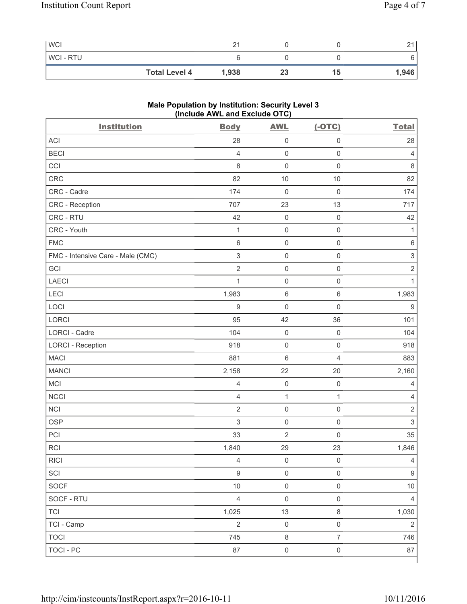| <b>WCI</b>     |                      |       |    |    | $\bigcap$<br>_ |
|----------------|----------------------|-------|----|----|----------------|
| <b>WCI-RTU</b> |                      |       |    |    | 6              |
|                | <b>Total Level 4</b> | 1,938 | 23 | 15 | 1,946          |

## **Male Population by Institution: Security Level 3 (Include AWL and Exclude OTC)**

| <b>Institution</b>                | <b>Body</b>      | <b>AWL</b>          | $(-OTC)$            | <b>Total</b>   |
|-----------------------------------|------------------|---------------------|---------------------|----------------|
| <b>ACI</b>                        | 28               | $\mathsf 0$         | $\mathsf 0$         | 28             |
| <b>BECI</b>                       | $\overline{4}$   | $\mathsf{O}\xspace$ | $\mathsf 0$         | 4              |
| CCI                               | 8                | $\mathbf 0$         | $\mathsf 0$         | 8              |
| CRC                               | 82               | 10                  | 10                  | 82             |
| CRC - Cadre                       | 174              | $\mathsf{O}\xspace$ | $\mathsf 0$         | 174            |
| CRC - Reception                   | 707              | 23                  | 13                  | 717            |
| CRC - RTU                         | 42               | $\mathsf{O}\xspace$ | $\mathsf 0$         | 42             |
| CRC - Youth                       | $\mathbf{1}$     | $\mathsf{O}\xspace$ | $\mathsf{O}\xspace$ | $\mathbf{1}$   |
| <b>FMC</b>                        | 6                | $\mathsf 0$         | $\mathsf{O}\xspace$ | $\,6$          |
| FMC - Intensive Care - Male (CMC) | $\sqrt{3}$       | $\mathsf{O}\xspace$ | $\mathsf{O}\xspace$ | $\mathsf 3$    |
| GCI                               | $\mathbf 2$      | $\mathsf{O}\xspace$ | $\mathsf{O}\xspace$ | $\overline{2}$ |
| <b>LAECI</b>                      | $\mathbf{1}$     | $\mathsf{O}\xspace$ | $\mathsf{O}\xspace$ | $\mathbf{1}$   |
| LECI                              | 1,983            | $\,6\,$             | $\,6\,$             | 1,983          |
| LOCI                              | $\boldsymbol{9}$ | $\mathbf 0$         | $\mathsf 0$         | $\hbox{9}$     |
| <b>LORCI</b>                      | 95               | 42                  | 36                  | 101            |
| <b>LORCI - Cadre</b>              | 104              | $\mathsf{O}\xspace$ | $\mathsf{O}\xspace$ | 104            |
| <b>LORCI - Reception</b>          | 918              | $\mathsf{O}\xspace$ | $\mathsf{O}\xspace$ | 918            |
| <b>MACI</b>                       | 881              | $\,$ 6 $\,$         | $\overline{4}$      | 883            |
| <b>MANCI</b>                      | 2,158            | 22                  | 20                  | 2,160          |
| MCI                               | $\overline{4}$   | $\mathsf{O}\xspace$ | $\mathsf{O}\xspace$ | $\overline{4}$ |
| <b>NCCI</b>                       | $\overline{4}$   | $\mathbf 1$         | $\mathbf{1}$        | 4              |
| <b>NCI</b>                        | $\sqrt{2}$       | $\mathsf{O}\xspace$ | $\mathsf 0$         | $\sqrt{2}$     |
| <b>OSP</b>                        | 3                | $\mathsf{O}\xspace$ | $\mathsf 0$         | $\mathsf 3$    |
| PCI                               | 33               | $\overline{2}$      | $\mathsf 0$         | 35             |
| <b>RCI</b>                        | 1,840            | 29                  | 23                  | 1,846          |
| RICI                              | $\overline{4}$   | $\mathsf{O}\xspace$ | $\mathsf 0$         | $\overline{4}$ |
| SCI                               | $\boldsymbol{9}$ | $\mathsf 0$         | $\mathsf 0$         | $9\,$          |
| SOCF                              | $10$             | $\mathsf{O}\xspace$ | $\mathsf 0$         | 10             |
| SOCF - RTU                        | $\overline{4}$   | $\mathsf 0$         | $\mathsf{O}\xspace$ | $\overline{4}$ |
| <b>TCI</b>                        | 1,025            | 13                  | $\,8\,$             | 1,030          |
| TCI - Camp                        | $\overline{2}$   | $\mathsf 0$         | $\mathsf 0$         | $\overline{2}$ |
| <b>TOCI</b>                       | 745              | $\,8\,$             | $\overline{7}$      | 746            |
| <b>TOCI - PC</b>                  | 87               | $\mathsf{O}\xspace$ | $\mathsf 0$         | 87             |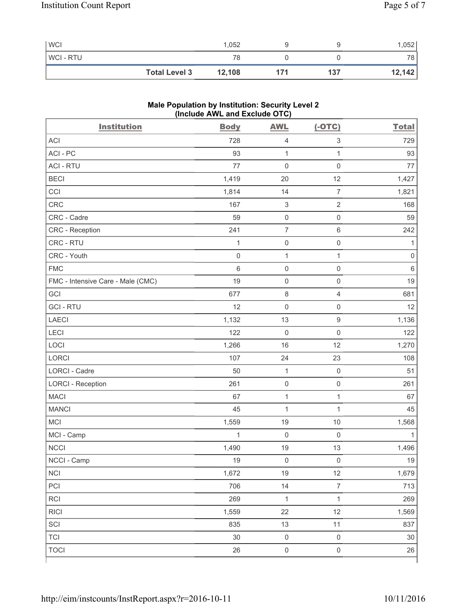| <b>WCI</b>     |                      | 1,052  |     | 1,052  |
|----------------|----------------------|--------|-----|--------|
| <b>WCI-RTU</b> |                      | 78     |     | 78     |
|                | <b>Total Level 3</b> | 12,108 | 137 | 12,142 |

## **Male Population by Institution: Security Level 2 (Include AWL and Exclude OTC)**

| <b>Institution</b>                | <b>Body</b>         | <b>AWL</b>          | $(-OTC)$                  | <b>Total</b> |
|-----------------------------------|---------------------|---------------------|---------------------------|--------------|
| <b>ACI</b>                        | 728                 | $\overline{4}$      | $\ensuremath{\mathsf{3}}$ | 729          |
| ACI - PC                          | 93                  | $\mathbf{1}$        | 1                         | 93           |
| <b>ACI - RTU</b>                  | 77                  | $\mathbf 0$         | $\mathsf{O}\xspace$       | 77           |
| <b>BECI</b>                       | 1,419               | 20                  | 12                        | 1,427        |
| CCI                               | 1,814               | 14                  | $\overline{7}$            | 1,821        |
| CRC                               | 167                 | $\,$ 3 $\,$         | $\overline{2}$            | 168          |
| CRC - Cadre                       | 59                  | $\mathsf{O}\xspace$ | $\mathsf{O}\xspace$       | 59           |
| CRC - Reception                   | 241                 | $\overline{7}$      | $\,6\,$                   | 242          |
| CRC - RTU                         | $\mathbf{1}$        | $\mathsf 0$         | $\mathsf{O}\xspace$       | $\mathbf{1}$ |
| CRC - Youth                       | $\mathsf{O}\xspace$ | $\mathbf{1}$        | $\mathbf 1$               | $\mathbf 0$  |
| <b>FMC</b>                        | 6                   | $\mathsf 0$         | $\mathsf{O}\xspace$       | 6            |
| FMC - Intensive Care - Male (CMC) | 19                  | $\mathsf{O}\xspace$ | $\mathsf{O}\xspace$       | 19           |
| GCI                               | 677                 | $\,8\,$             | $\overline{4}$            | 681          |
| <b>GCI-RTU</b>                    | 12                  | $\mathsf 0$         | $\mathsf{O}\xspace$       | 12           |
| LAECI                             | 1,132               | 13                  | $\boldsymbol{9}$          | 1,136        |
| LECI                              | 122                 | $\mathsf{O}\xspace$ | $\mathsf{O}\xspace$       | 122          |
| LOCI                              | 1,266               | 16                  | 12                        | 1,270        |
| LORCI                             | 107                 | 24                  | 23                        | 108          |
| LORCI - Cadre                     | 50                  | $\mathbf{1}$        | $\mathbf 0$               | 51           |
| <b>LORCI - Reception</b>          | 261                 | $\mathsf{O}\xspace$ | $\mathsf{O}\xspace$       | 261          |
| <b>MACI</b>                       | 67                  | $\mathbf 1$         | $\mathbf{1}$              | 67           |
| <b>MANCI</b>                      | 45                  | $\mathbf{1}$        | $\mathbf{1}$              | 45           |
| MCI                               | 1,559               | 19                  | $10$                      | 1,568        |
| MCI - Camp                        | $\mathbf{1}$        | $\mathsf 0$         | $\mathsf{O}\xspace$       | 1            |
| <b>NCCI</b>                       | 1,490               | 19                  | 13                        | 1,496        |
| NCCI - Camp                       | 19                  | $\mathsf{O}\xspace$ | $\mathsf 0$               | $19$         |
| <b>NCI</b>                        | 1,672               | 19                  | 12                        | 1,679        |
| PCI                               | 706                 | 14                  | $\overline{7}$            | 713          |
| <b>RCI</b>                        | 269                 | $\mathbf{1}$        | $\mathbf{1}$              | 269          |
| <b>RICI</b>                       | 1,559               | 22                  | 12                        | 1,569        |
| SCI                               | 835                 | 13                  | 11                        | 837          |
| <b>TCI</b>                        | 30                  | $\mathsf{O}\xspace$ | $\mathsf 0$               | $30\,$       |
| <b>TOCI</b>                       | 26                  | $\mathsf{O}\xspace$ | $\mathsf{O}\xspace$       | 26           |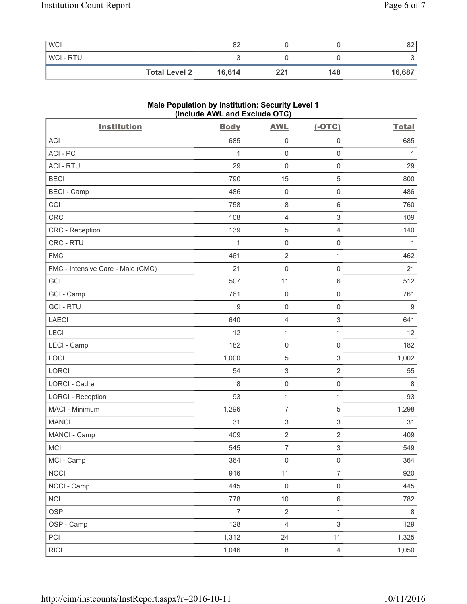| <b>WCI</b>     |                      | 82     |     |     | 82     |
|----------------|----------------------|--------|-----|-----|--------|
| <b>WCI-RTU</b> |                      |        |     |     |        |
|                | <b>Total Level 2</b> | 16,614 | 221 | 148 | 16,687 |

## **Male Population by Institution: Security Level 1 (Include AWL and Exclude OTC)**

| <b>Institution</b>                | <b>Body</b>      | <b>AWL</b>                | $(-OTC)$                  | <b>Total</b> |
|-----------------------------------|------------------|---------------------------|---------------------------|--------------|
| <b>ACI</b>                        | 685              | $\mathsf{O}\xspace$       | $\mathsf{O}\xspace$       | 685          |
| ACI - PC                          | 1                | $\mathsf{O}\xspace$       | $\mathsf{O}\xspace$       | 1            |
| <b>ACI - RTU</b>                  | 29               | $\mathbf 0$               | $\mathsf{O}\xspace$       | 29           |
| <b>BECI</b>                       | 790              | 15                        | 5                         | 800          |
| <b>BECI - Camp</b>                | 486              | $\mathsf{O}\xspace$       | $\mathsf{O}\xspace$       | 486          |
| CCI                               | 758              | $\,8\,$                   | $\,6\,$                   | 760          |
| <b>CRC</b>                        | 108              | $\overline{4}$            | $\ensuremath{\mathsf{3}}$ | 109          |
| CRC - Reception                   | 139              | $\sqrt{5}$                | $\overline{4}$            | 140          |
| CRC - RTU                         | $\mathbf{1}$     | $\mathsf 0$               | $\mathsf{O}\xspace$       | $\mathbf{1}$ |
| <b>FMC</b>                        | 461              | $\sqrt{2}$                | $\mathbf{1}$              | 462          |
| FMC - Intensive Care - Male (CMC) | 21               | $\mathsf{O}\xspace$       | $\mathbf 0$               | 21           |
| GCI                               | 507              | 11                        | $\,6\,$                   | 512          |
| GCI - Camp                        | 761              | $\mathsf{O}\xspace$       | $\mathsf{O}\xspace$       | 761          |
| <b>GCI-RTU</b>                    | $\boldsymbol{9}$ | $\mathsf{O}\xspace$       | $\mathsf{O}\xspace$       | $\mathsf g$  |
| <b>LAECI</b>                      | 640              | $\overline{4}$            | $\ensuremath{\mathsf{3}}$ | 641          |
| LECI                              | 12               | $\mathbf{1}$              | 1                         | 12           |
| LECI - Camp                       | 182              | $\mathsf 0$               | $\mathbf 0$               | 182          |
| LOCI                              | 1,000            | $\mathbf 5$               | $\mathsf 3$               | 1,002        |
| <b>LORCI</b>                      | 54               | $\ensuremath{\mathsf{3}}$ | $\overline{2}$            | 55           |
| LORCI - Cadre                     | 8                | $\mathsf{O}\xspace$       | $\mathsf{O}\xspace$       | 8            |
| <b>LORCI - Reception</b>          | 93               | $\mathbf{1}$              | $\mathbf{1}$              | 93           |
| MACI - Minimum                    | 1,296            | $\overline{\mathcal{I}}$  | $\,$ 5 $\,$               | 1,298        |
| <b>MANCI</b>                      | 31               | $\,$ 3 $\,$               | $\mathsf 3$               | 31           |
| MANCI - Camp                      | 409              | $\sqrt{2}$                | $\sqrt{2}$                | 409          |
| <b>MCI</b>                        | 545              | $\overline{7}$            | $\ensuremath{\mathsf{3}}$ | 549          |
| MCI - Camp                        | 364              | $\mathsf{O}\xspace$       | $\mathsf{O}\xspace$       | 364          |
| <b>NCCI</b>                       | 916              | 11                        | $\overline{7}$            | 920          |
| NCCI - Camp                       | 445              | $\mathsf{O}\xspace$       | $\mathsf 0$               | 445          |
| <b>NCI</b>                        | 778              | $10$                      | $\,6\,$                   | 782          |
| <b>OSP</b>                        | $\overline{7}$   | $\sqrt{2}$                | $\mathbf{1}$              | $\,8\,$      |
| OSP - Camp                        | 128              | $\overline{4}$            | $\ensuremath{\mathsf{3}}$ | 129          |
| PCI                               | 1,312            | 24                        | 11                        | 1,325        |
| <b>RICI</b>                       | 1,046            | $\,8\,$                   | $\overline{4}$            | 1,050        |